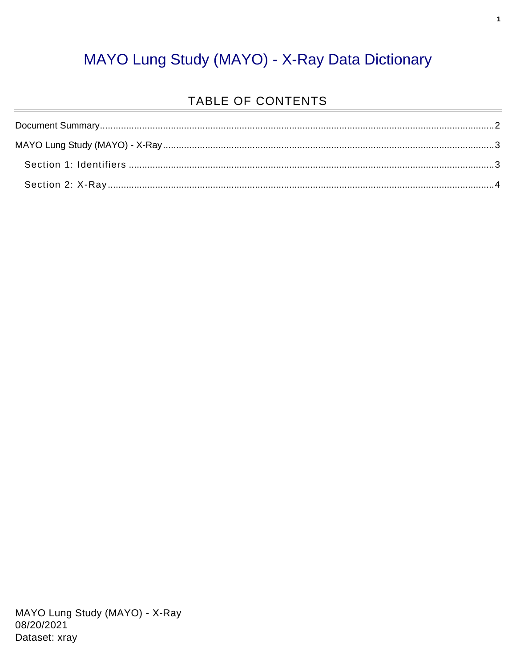### MAYO Lung Study (MAYO) - X-Ray Data Dictionary

#### TABLE OF CONTENTS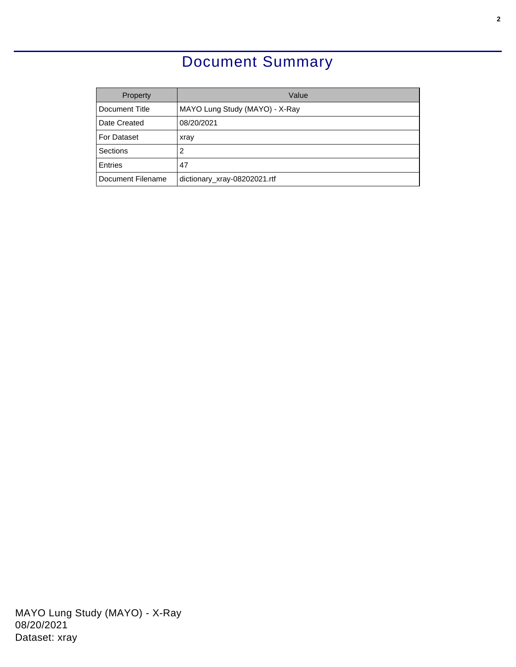### Document Summary

<span id="page-1-0"></span>

| Property           | Value                          |
|--------------------|--------------------------------|
| Document Title     | MAYO Lung Study (MAYO) - X-Ray |
| Date Created       | 08/20/2021                     |
| <b>For Dataset</b> | xray                           |
| Sections           | 2                              |
| Entries            | 47                             |
| Document Filename  | dictionary_xray-08202021.rtf   |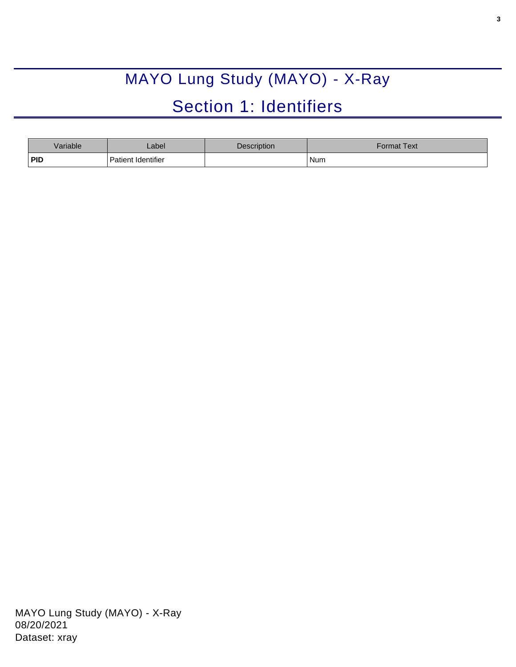# MAYO Lung Study (MAYO) - X-Ray

## Section 1: Identifiers

<span id="page-2-1"></span><span id="page-2-0"></span>

| Variable   | Label              | <b>Description</b> | Format Text <sup>l</sup> |
|------------|--------------------|--------------------|--------------------------|
| <b>PID</b> | Patient Identifier |                    | Num                      |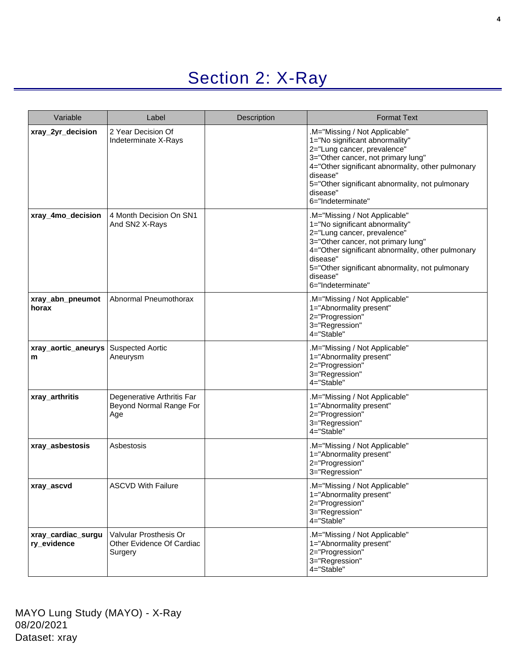### Section 2: X-Ray

<span id="page-3-0"></span>

| Variable                          | Label                                                          | Description | <b>Format Text</b>                                                                                                                                                                                                                                                                       |
|-----------------------------------|----------------------------------------------------------------|-------------|------------------------------------------------------------------------------------------------------------------------------------------------------------------------------------------------------------------------------------------------------------------------------------------|
| xray_2yr_decision                 | 2 Year Decision Of<br>Indeterminate X-Rays                     |             | M="Missing / Not Applicable"<br>1="No significant abnormality"<br>2="Lung cancer, prevalence"<br>3="Other cancer, not primary lung"<br>4="Other significant abnormality, other pulmonary<br>disease"<br>5="Other significant abnormality, not pulmonary<br>disease"<br>6="Indeterminate" |
| xray_4mo_decision                 | 4 Month Decision On SN1<br>And SN2 X-Rays                      |             | M="Missing / Not Applicable"<br>1="No significant abnormality"<br>2="Lung cancer, prevalence"<br>3="Other cancer, not primary lung"<br>4="Other significant abnormality, other pulmonary<br>disease"<br>5="Other significant abnormality, not pulmonary<br>disease"<br>6="Indeterminate" |
| xray_abn_pneumot<br>horax         | Abnormal Pneumothorax                                          |             | .M="Missing / Not Applicable"<br>1="Abnormality present"<br>2="Progression"<br>3="Regression"<br>4="Stable"                                                                                                                                                                              |
| xray_aortic_aneurys<br>m          | <b>Suspected Aortic</b><br>Aneurysm                            |             | M="Missing / Not Applicable"<br>1="Abnormality present"<br>2="Progression"<br>3="Regression"<br>4="Stable"                                                                                                                                                                               |
| xray_arthritis                    | Degenerative Arthritis Far<br>Beyond Normal Range For<br>Age   |             | M="Missing / Not Applicable"<br>1="Abnormality present"<br>2="Progression"<br>3="Regression"<br>4="Stable"                                                                                                                                                                               |
| xray_asbestosis                   | Asbestosis                                                     |             | .M="Missing / Not Applicable"<br>1="Abnormality present"<br>2="Progression"<br>3="Regression"                                                                                                                                                                                            |
| xray_ascvd                        | ASCVD With Failure                                             |             | M="Missing / Not Applicable"<br>1="Abnormality present"<br>2="Progression"<br>3="Regression"<br>4="Stable"                                                                                                                                                                               |
| xray_cardiac_surgu<br>ry_evidence | Valvular Prosthesis Or<br>Other Evidence Of Cardiac<br>Surgery |             | M="Missing / Not Applicable"<br>1="Abnormality present"<br>2="Progression"<br>3="Regression"<br>4="Stable"                                                                                                                                                                               |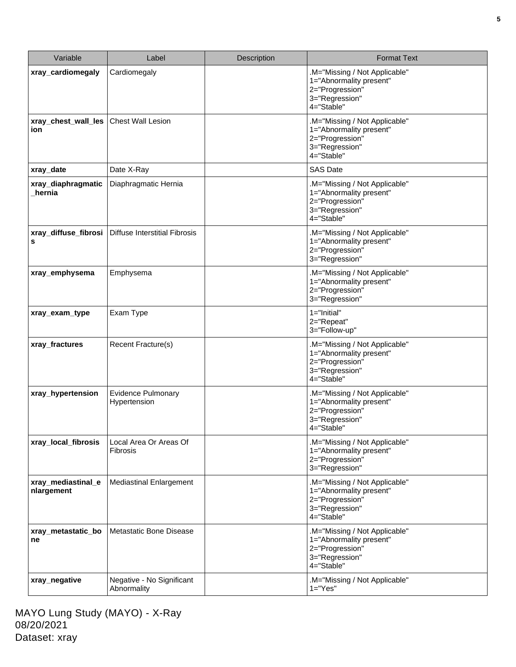| Variable                         | Label                                     | Description | <b>Format Text</b>                                                                                          |
|----------------------------------|-------------------------------------------|-------------|-------------------------------------------------------------------------------------------------------------|
| xray_cardiomegaly                | Cardiomegaly                              |             | M="Missing / Not Applicable"<br>1="Abnormality present"<br>2="Progression"<br>3="Regression"<br>4="Stable"  |
| xray_chest_wall_les<br>ion.      | <b>Chest Wall Lesion</b>                  |             | M="Missing / Not Applicable"<br>1="Abnormality present"<br>2="Progression"<br>3="Regression"<br>4="Stable"  |
| xray_date                        | Date X-Ray                                |             | <b>SAS Date</b>                                                                                             |
| xray_diaphragmatic<br>hernia     | Diaphragmatic Hernia                      |             | .M="Missing / Not Applicable"<br>1="Abnormality present"<br>2="Progression"<br>3="Regression"<br>4="Stable" |
| xray_diffuse_fibrosi<br>s        | <b>Diffuse Interstitial Fibrosis</b>      |             | .M="Missing / Not Applicable"<br>1="Abnormality present"<br>2="Progression"<br>3="Regression"               |
| xray_emphysema                   | Emphysema                                 |             | M="Missing / Not Applicable"<br>1="Abnormality present"<br>2="Progression"<br>3="Regression"                |
| xray_exam_type                   | Exam Type                                 |             | $1 = "Initial"$<br>2="Repeat"<br>3="Follow-up"                                                              |
| xray_fractures                   | Recent Fracture(s)                        |             | .M="Missing / Not Applicable"<br>1="Abnormality present"<br>2="Progression"<br>3="Regression"<br>4="Stable" |
| xray_hypertension                | <b>Evidence Pulmonary</b><br>Hypertension |             | .M="Missing / Not Applicable"<br>1="Abnormality present"<br>2="Progression"<br>3="Regression"<br>4="Stable" |
| xray_local_fibrosis              | Local Area Or Areas Of<br><b>Fibrosis</b> |             | .M="Missing / Not Applicable"<br>1="Abnormality present"<br>2="Progression"<br>3="Regression"               |
| xray_mediastinal_e<br>nlargement | <b>Mediastinal Enlargement</b>            |             | .M="Missing / Not Applicable"<br>1="Abnormality present"<br>2="Progression"<br>3="Regression"<br>4="Stable" |
| xray_metastatic_bo<br>ne         | Metastatic Bone Disease                   |             | .M="Missing / Not Applicable"<br>1="Abnormality present"<br>2="Progression"<br>3="Regression"<br>4="Stable" |
| xray_negative                    | Negative - No Significant<br>Abnormality  |             | .M="Missing / Not Applicable"<br>$1 = "Yes"$                                                                |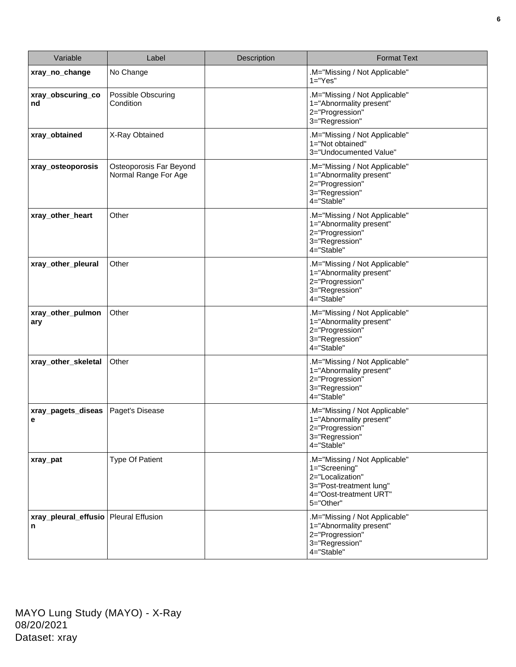| Variable                                     | Label                                           | Description | <b>Format Text</b>                                                                                                                   |
|----------------------------------------------|-------------------------------------------------|-------------|--------------------------------------------------------------------------------------------------------------------------------------|
| xray_no_change                               | No Change                                       |             | M="Missing / Not Applicable"<br>$1 = "Yes"$                                                                                          |
| xray_obscuring_co<br>nd                      | Possible Obscuring<br>Condition                 |             | .M="Missing / Not Applicable"<br>1="Abnormality present"<br>2="Progression"<br>3="Regression"                                        |
| xray_obtained                                | X-Ray Obtained                                  |             | .M="Missing / Not Applicable"<br>1="Not obtained"<br>3="Undocumented Value"                                                          |
| xray_osteoporosis                            | Osteoporosis Far Beyond<br>Normal Range For Age |             | M="Missing / Not Applicable".<br>1="Abnormality present"<br>2="Progression"<br>3="Regression"<br>4="Stable"                          |
| xray_other_heart                             | Other                                           |             | M="Missing / Not Applicable"<br>1="Abnormality present"<br>2="Progression"<br>3="Regression"<br>4="Stable"                           |
| xray_other_pleural                           | Other                                           |             | .M="Missing / Not Applicable"<br>1="Abnormality present"<br>2="Progression"<br>3="Regression"<br>4="Stable"                          |
| xray_other_pulmon<br>ary                     | Other                                           |             | .M="Missing / Not Applicable"<br>1="Abnormality present"<br>2="Progression"<br>3="Regression"<br>4="Stable"                          |
| xray_other_skeletal                          | Other                                           |             | .M="Missing / Not Applicable"<br>1="Abnormality present"<br>2="Progression"<br>3="Regression"<br>4="Stable"                          |
| xray_pagets_diseas<br>е                      | Paget's Disease                                 |             | .M="Missing / Not Applicable"<br>1="Abnormality present"<br>2="Progression"<br>3="Regression"<br>4="Stable"                          |
| xray_pat                                     | <b>Type Of Patient</b>                          |             | .M="Missing / Not Applicable"<br>1="Screening"<br>2="Localization"<br>3="Post-treatment lung"<br>4="Oost-treatment URT"<br>5="Other" |
| xray_pleural_effusio   Pleural Effusion<br>n |                                                 |             | .M="Missing / Not Applicable"<br>1="Abnormality present"<br>2="Progression"<br>3="Regression"<br>4="Stable"                          |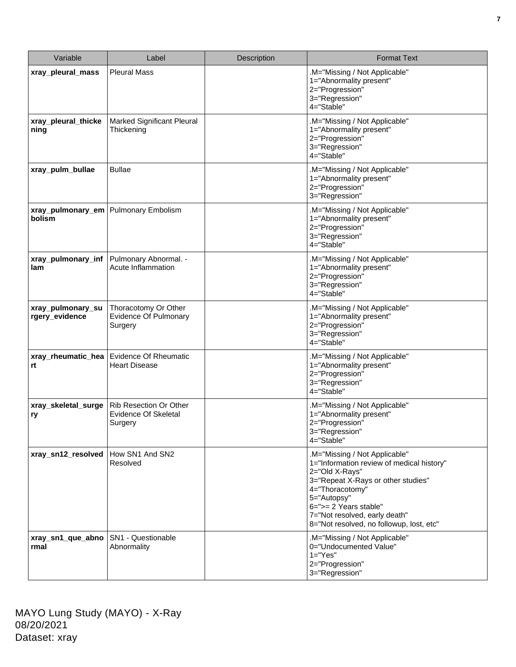| Variable                            | Label                                                           | Description | <b>Format Text</b>                                                                                                                                                                                                                                                         |
|-------------------------------------|-----------------------------------------------------------------|-------------|----------------------------------------------------------------------------------------------------------------------------------------------------------------------------------------------------------------------------------------------------------------------------|
| xray_pleural_mass                   | <b>Pleural Mass</b>                                             |             | .M="Missing / Not Applicable"<br>1="Abnormality present"<br>2="Progression"<br>3="Regression"<br>4="Stable"                                                                                                                                                                |
| xray_pleural_thicke<br>ning         | Marked Significant Pleural<br>Thickening                        |             | .M="Missing / Not Applicable"<br>1="Abnormality present"<br>2="Progression"<br>3="Regression"<br>4="Stable"                                                                                                                                                                |
| xray_pulm_bullae                    | <b>Bullae</b>                                                   |             | .M="Missing / Not Applicable"<br>1="Abnormality present"<br>2="Progression"<br>3="Regression"                                                                                                                                                                              |
| xray_pulmonary_em<br>bolism         | <b>Pulmonary Embolism</b>                                       |             | .M="Missing / Not Applicable"<br>1="Abnormality present"<br>2="Progression"<br>3="Regression"<br>4="Stable"                                                                                                                                                                |
| xray_pulmonary_inf<br>lam           | Pulmonary Abnormal. -<br>Acute Inflammation                     |             | .M="Missing / Not Applicable"<br>1="Abnormality present"<br>2="Progression"<br>3="Regression"<br>4="Stable"                                                                                                                                                                |
| xray_pulmonary_su<br>rgery_evidence | Thoracotomy Or Other<br><b>Evidence Of Pulmonary</b><br>Surgery |             | .M="Missing / Not Applicable"<br>1="Abnormality present"<br>2="Progression"<br>3="Regression"<br>4="Stable"                                                                                                                                                                |
| xray_rheumatic_hea<br>rt            | <b>Evidence Of Rheumatic</b><br><b>Heart Disease</b>            |             | .M="Missing / Not Applicable"<br>1="Abnormality present"<br>2="Progression"<br>3="Regression"<br>4="Stable"                                                                                                                                                                |
| xray_skeletal_surge<br>ry           | Rib Resection Or Other<br>Evidence Of Skeletal<br>Surgery       |             | .M="Missing / Not Applicable"<br>1="Abnormality present"<br>2="Progression"<br>3="Regression"<br>$4 = "Stable"$                                                                                                                                                            |
| xray_sn12_resolved                  | How SN1 And SN2<br>Resolved                                     |             | .M="Missing / Not Applicable"<br>1="Information review of medical history"<br>2="Old X-Rays"<br>3="Repeat X-Rays or other studies"<br>4="Thoracotomy"<br>5="Autopsy"<br>6=">= 2 Years stable"<br>7="Not resolved, early death"<br>8="Not resolved, no followup, lost, etc" |
| xray_sn1_que_abno<br>rmal           | SN1 - Questionable<br>Abnormality                               |             | .M="Missing / Not Applicable"<br>0="Undocumented Value"<br>$1="Yes"$<br>2="Progression"<br>3="Regression"                                                                                                                                                                  |